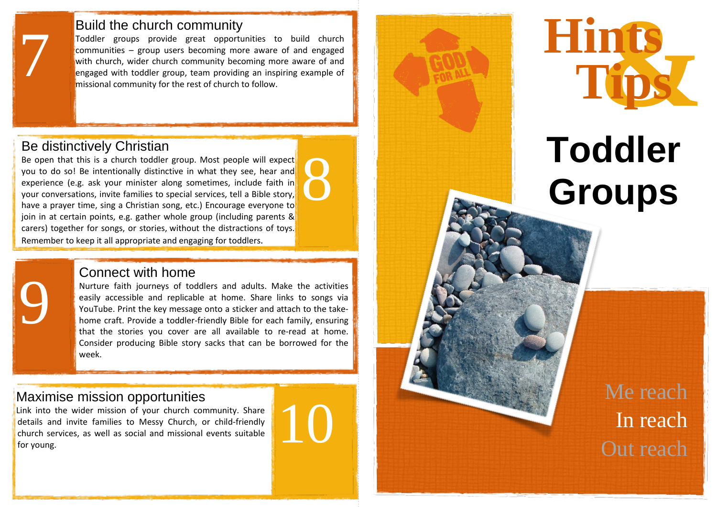### Build the church community

Toddler groups provide great opportunities to build church communities - group users becoming more aware of and engaged with church, wider church community becoming more aware of and engaged with toddler group, team providing an inspiring example of missional community for the rest of church to follow.

## Be distinctively Christian

7

9

Be open that this is a church toddler group. Most people will expect you to do so ! Be intentionally distinctive in what they see, hear and experience (e.g. ask your minister along sometimes, include faith in your conversations, invite families to special services, tell a Bible story, have a prayer time, sing a Christian song, etc.) Encourage everyone to join in at certain points, e.g. gather whole group (including parents & carers) together for songs, or stories , without the distractions of toys. Remember to keep it all appropriate and engaging for toddlers . 8

For further suggestions and recommended resources, please visit

### [Connect](https://uk.pinterest.com/churchandschool/0-5s-top-tips/) with home

Nurture faith journeys of toddlers and adults. Make the activities easily accessible and replicable at home. Share links to songs via YouTube. Print the key message onto a sticker and attach to the takehome craft. Provide a toddler-friendly Bible for each family, ensuring that the stories you cover are all available to re -read at home. Consider producing Bible story sacks that can be borrowed for the week.

# Maximise mission opportunities

Link into the wider mission of your church community. Share details and invite families to Messy Church, or child -friendly church services, as well as social and missional events suitable for young .





# **Toddler Groups**

Me reach In reach Out reach